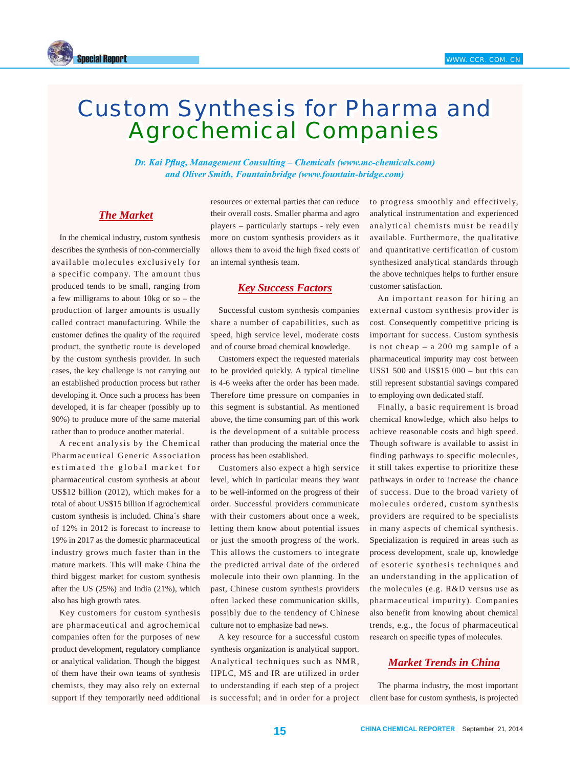

# Custom Synthesis for Pharma and Agrochemical Companies

*Dr. Kai Pflug, Management Consulting – Chemicals (www.mc-chemicals.com) and Oliver Smith, Fountainbridge (www.fountain-bridge.com)*

# *The Market*

In the chemical industry, custom synthesis describes the synthesis of non-commercially available molecules exclusively for a specific company. The amount thus produced tends to be small, ranging from a few milligrams to about 10kg or so – the production of larger amounts is usually called contract manufacturing. While the customer defines the quality of the required product, the synthetic route is developed by the custom synthesis provider. In such cases, the key challenge is not carrying out an established production process but rather developing it. Once such a process has been developed, it is far cheaper (possibly up to 90%) to produce more of the same material rather than to produce another material.

A recent analysis by the Chemical Pharmaceutical Generic Association estimated the global market for pharmaceutical custom synthesis at about US\$12 billion (2012), which makes for a total of about US\$15 billion if agrochemical custom synthesis is included. China´s share of 12% in 2012 is forecast to increase to 19% in 2017 as the domestic pharmaceutical industry grows much faster than in the mature markets. This will make China the third biggest market for custom synthesis after the US (25%) and India (21%), which also has high growth rates.

Key customers for custom synthesis are pharmaceutical and agrochemical companies often for the purposes of new product development, regulatory compliance or analytical validation. Though the biggest of them have their own teams of synthesis chemists, they may also rely on external support if they temporarily need additional resources or external parties that can reduce their overall costs. Smaller pharma and agro players – particularly startups - rely even more on custom synthesis providers as it allows them to avoid the high fixed costs of an internal synthesis team.

### *Key Success Factors*

Successful custom synthesis companies share a number of capabilities, such as speed, high service level, moderate costs and of course broad chemical knowledge.

Customers expect the requested materials to be provided quickly. A typical timeline is 4-6 weeks after the order has been made. Therefore time pressure on companies in this segment is substantial. As mentioned above, the time consuming part of this work is the development of a suitable process rather than producing the material once the process has been established.

Customers also expect a high service level, which in particular means they want to be well-informed on the progress of their order. Successful providers communicate with their customers about once a week, letting them know about potential issues or just the smooth progress of the work. This allows the customers to integrate the predicted arrival date of the ordered molecule into their own planning. In the past, Chinese custom synthesis providers often lacked these communication skills, possibly due to the tendency of Chinese culture not to emphasize bad news.

A key resource for a successful custom synthesis organization is analytical support. Analytical techniques such as NMR, HPLC, MS and IR are utilized in order to understanding if each step of a project is successful; and in order for a project to progress smoothly and effectively, analytical instrumentation and experienced analytical chemists must be readily available. Furthermore, the qualitative and quantitative certification of custom synthesized analytical standards through the above techniques helps to further ensure customer satisfaction.

An important reason for hiring an external custom synthesis provider is cost. Consequently competitive pricing is important for success. Custom synthesis is not cheap – a 200 mg sample of a pharmaceutical impurity may cost between US\$1 500 and US\$15 000 – but this can still represent substantial savings compared to employing own dedicated staff.

Finally, a basic requirement is broad chemical knowledge, which also helps to achieve reasonable costs and high speed. Though software is available to assist in finding pathways to specific molecules, it still takes expertise to prioritize these pathways in order to increase the chance of success. Due to the broad variety of molecules ordered, custom synthesis providers are required to be specialists in many aspects of chemical synthesis. Specialization is required in areas such as process development, scale up, knowledge of esoteric synthesis techniques and an understanding in the application of the molecules (e.g. R&D versus use as pharmaceutical impurity). Companies also benefit from knowing about chemical trends, e.g., the focus of pharmaceutical research on specific types of molecules.

## *Market Trends in China*

The pharma industry, the most important client base for custom synthesis, is projected